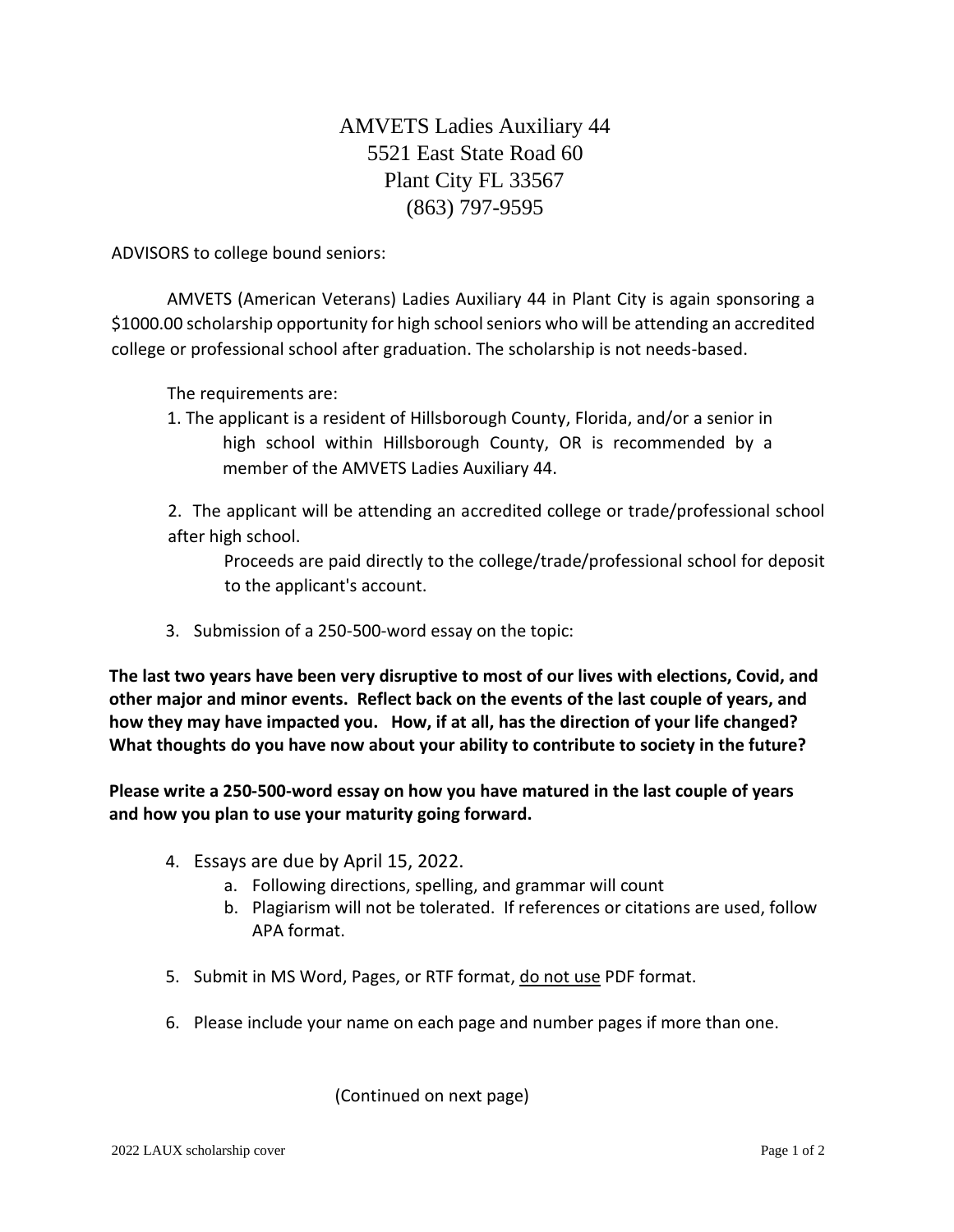## AMVETS Ladies Auxiliary 44 5521 East State Road 60 Plant City FL 33567 (863) 797-9595

ADVISORS to college bound seniors:

AMVETS (American Veterans) Ladies Auxiliary 44 in Plant City is again sponsoring a \$1000.00 scholarship opportunity for high school seniors who will be attending an accredited college or professional school after graduation. The scholarship is not needs-based.

The requirements are:

1. The applicant is a resident of Hillsborough County, Florida, and/or a senior in high school within Hillsborough County, OR is recommended by a member of the AMVETS Ladies Auxiliary 44.

2. The applicant will be attending an accredited college or trade/professional school after high school.

Proceeds are paid directly to the college/trade/professional school for deposit to the applicant's account.

3. Submission of a 250-500-word essay on the topic:

**The last two years have been very disruptive to most of our lives with elections, Covid, and other major and minor events. Reflect back on the events of the last couple of years, and how they may have impacted you. How, if at all, has the direction of your life changed? What thoughts do you have now about your ability to contribute to society in the future?**

**Please write a 250-500-word essay on how you have matured in the last couple of years and how you plan to use your maturity going forward.**

- 4. Essays are due by April 15, 2022.
	- a. Following directions, spelling, and grammar will count
	- b. Plagiarism will not be tolerated. If references or citations are used, follow APA format.
- 5. Submit in MS Word, Pages, or RTF format, do not use PDF format.
- 6. Please include your name on each page and number pages if more than one.

(Continued on next page)